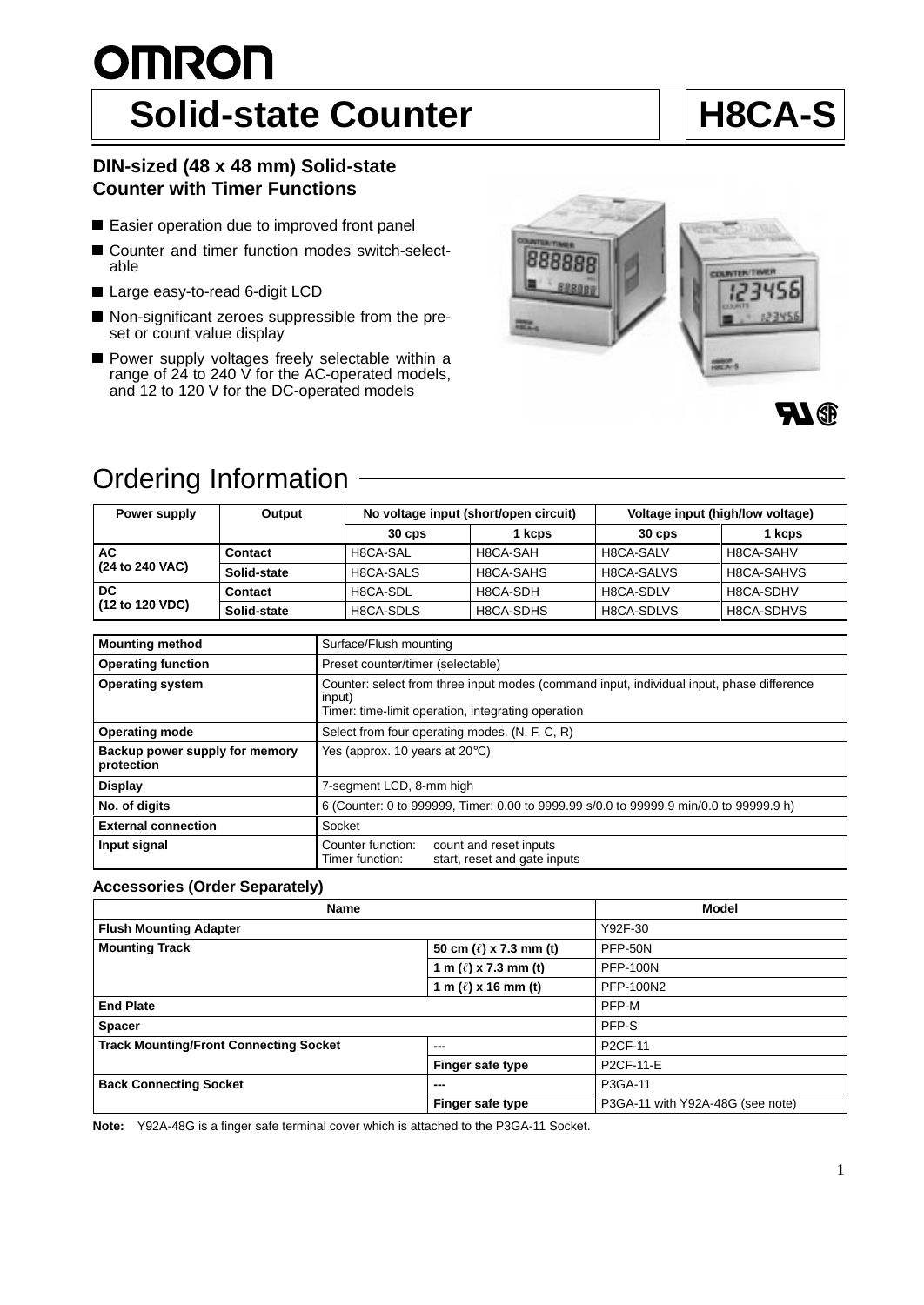# <u>OMRON</u>

# Solid-state Counter **H8CA-S**

# **DIN-sized (48 x 48 mm) Solid-state Counter with Timer Functions**

- Easier operation due to improved front panel
- Counter and timer function modes switch-selectable
- Large easy-to-read 6-digit LCD
- Non-significant zeroes suppressible from the preset or count value display
- Power supply voltages freely selectable within a range of 24 to 240 V for the AC-operated models, and 12 to 120 V for the DC-operated models





# Ordering Information

| Power supply          | Output      | No voltage input (short/open circuit) |           | Voltage input (high/low voltage) |            |
|-----------------------|-------------|---------------------------------------|-----------|----------------------------------|------------|
|                       |             | $30 \text{ } \cos$                    | 1 kcps    | $30 \text{ } \cos$               | 1 kcps     |
| АC<br>(24 to 240 VAC) | Contact     | H8CA-SAL                              | H8CA-SAH  | H8CA-SALV                        | H8CA-SAHV  |
|                       | Solid-state | H8CA-SALS                             | H8CA-SAHS | H8CA-SALVS                       | H8CA-SAHVS |
| DC<br>(12 to 120 VDC) | Contact     | H8CA-SDL                              | H8CA-SDH  | H8CA-SDLV                        | H8CA-SDHV  |
|                       | Solid-state | H8CA-SDLS                             | H8CA-SDHS | H8CA-SDLVS                       | H8CA-SDHVS |

| <b>Mounting method</b>                       | Surface/Flush mounting                                                                                                                                    |  |  |
|----------------------------------------------|-----------------------------------------------------------------------------------------------------------------------------------------------------------|--|--|
| <b>Operating function</b>                    | Preset counter/timer (selectable)                                                                                                                         |  |  |
| <b>Operating system</b>                      | Counter: select from three input modes (command input, individual input, phase difference<br>input)<br>Timer: time-limit operation, integrating operation |  |  |
| <b>Operating mode</b>                        | Select from four operating modes. (N, F, C, R)                                                                                                            |  |  |
| Backup power supply for memory<br>protection | Yes (approx. 10 years at $20^{\circ}$ C)                                                                                                                  |  |  |
| <b>Display</b>                               | 7-segment LCD, 8-mm high                                                                                                                                  |  |  |
| No. of digits                                | 6 (Counter: 0 to 999999, Timer: 0.00 to 9999.99 s/0.0 to 99999.9 min/0.0 to 99999.9 h)                                                                    |  |  |
| <b>External connection</b>                   | Socket                                                                                                                                                    |  |  |
| Input signal                                 | Counter function:<br>count and reset inputs<br>start, reset and gate inputs<br>Timer function:                                                            |  |  |

### **Accessories (Order Separately)**

| <b>Name</b>                                   | <b>Model</b>                |                                  |  |
|-----------------------------------------------|-----------------------------|----------------------------------|--|
| <b>Flush Mounting Adapter</b>                 |                             | Y92F-30                          |  |
| <b>Mounting Track</b>                         | 50 cm $(\ell)$ x 7.3 mm (t) | <b>PFP-50N</b>                   |  |
|                                               | 1 m $(\ell)$ x 7.3 mm (t)   | <b>PFP-100N</b>                  |  |
|                                               | 1 m $(\ell)$ x 16 mm (t)    | PFP-100N2                        |  |
| <b>End Plate</b>                              |                             | PFP-M                            |  |
| <b>Spacer</b>                                 |                             | PFP-S                            |  |
| <b>Track Mounting/Front Connecting Socket</b> | ---                         | <b>P2CF-11</b>                   |  |
|                                               | Finger safe type            | P2CF-11-E                        |  |
| <b>Back Connecting Socket</b><br>---          |                             | P3GA-11                          |  |
|                                               | Finger safe type            | P3GA-11 with Y92A-48G (see note) |  |

**Note:** Y92A-48G is a finger safe terminal cover which is attached to the P3GA-11 Socket.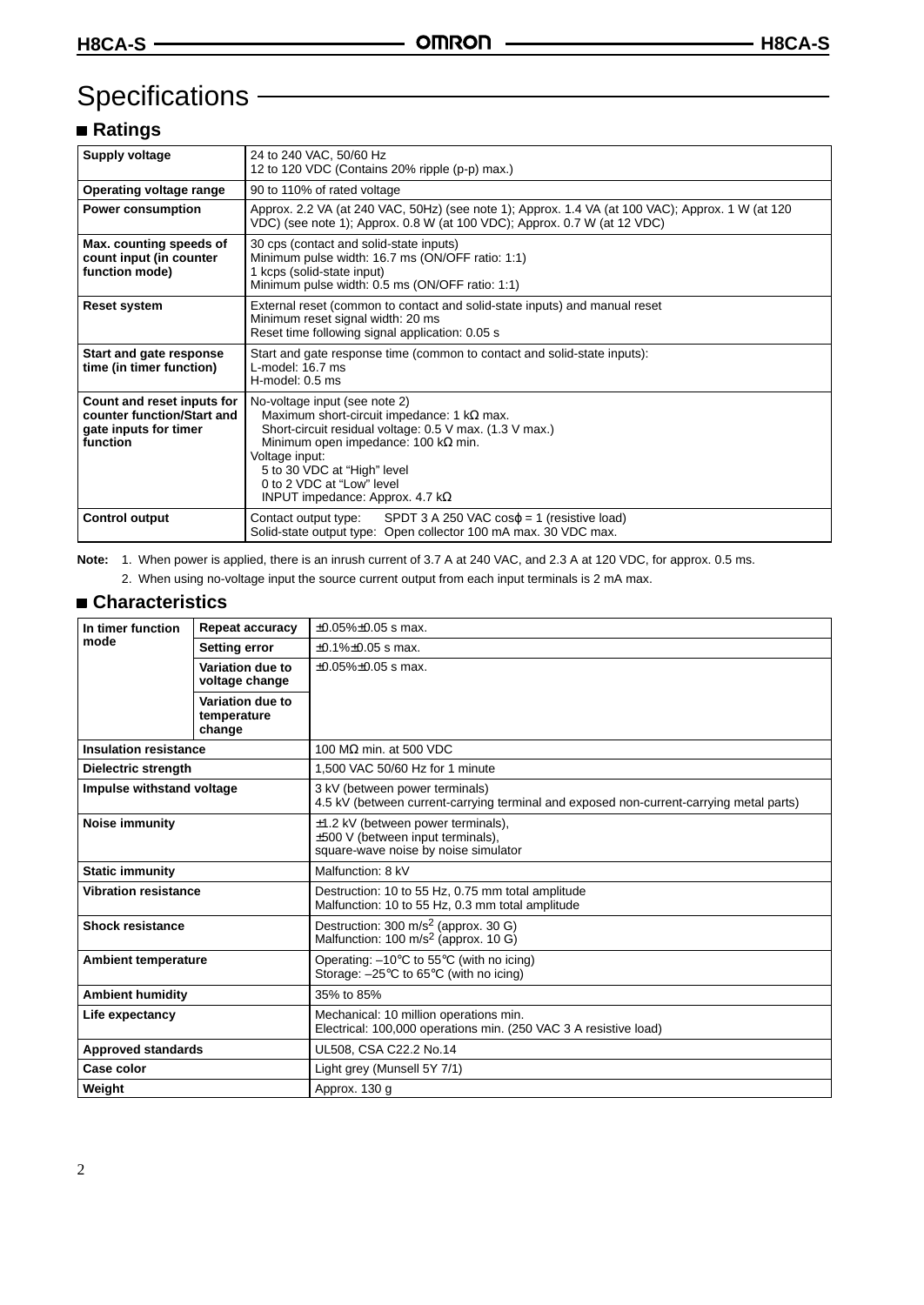# Specifications -

# **Ratings**

| Supply voltage                                                                                | 24 to 240 VAC, 50/60 Hz<br>12 to 120 VDC (Contains 20% ripple (p-p) max.)                                                                                                                                                                                                                                            |
|-----------------------------------------------------------------------------------------------|----------------------------------------------------------------------------------------------------------------------------------------------------------------------------------------------------------------------------------------------------------------------------------------------------------------------|
| Operating voltage range                                                                       | 90 to 110% of rated voltage                                                                                                                                                                                                                                                                                          |
| <b>Power consumption</b>                                                                      | Approx. 2.2 VA (at 240 VAC, 50Hz) (see note 1); Approx. 1.4 VA (at 100 VAC); Approx. 1 W (at 120<br>VDC) (see note 1); Approx. 0.8 W (at 100 VDC); Approx. 0.7 W (at 12 VDC)                                                                                                                                         |
| Max. counting speeds of<br>count input (in counter<br>function mode)                          | 30 cps (contact and solid-state inputs)<br>Minimum pulse width: 16.7 ms (ON/OFF ratio: 1:1)<br>1 kcps (solid-state input)<br>Minimum pulse width: 0.5 ms (ON/OFF ratio: 1:1)                                                                                                                                         |
| <b>Reset system</b>                                                                           | External reset (common to contact and solid-state inputs) and manual reset<br>Minimum reset signal width: 20 ms<br>Reset time following signal application: 0.05 s                                                                                                                                                   |
| Start and gate response<br>time (in timer function)                                           | Start and gate response time (common to contact and solid-state inputs):<br>L-model: 16.7 ms<br>H-model: 0.5 ms                                                                                                                                                                                                      |
| Count and reset inputs for<br>counter function/Start and<br>gate inputs for timer<br>function | No-voltage input (see note 2)<br>Maximum short-circuit impedance: 1 $k\Omega$ max.<br>Short-circuit residual voltage: 0.5 V max. (1.3 V max.)<br>Minimum open impedance: 100 k $\Omega$ min.<br>Voltage input:<br>5 to 30 VDC at "High" level<br>0 to 2 VDC at "Low" level<br>INPUT impedance: Approx. 4.7 $k\Omega$ |
| <b>Control output</b>                                                                         | SPDT 3 A 250 VAC $cos\varphi = 1$ (resistive load)<br>Contact output type:<br>Solid-state output type: Open collector 100 mA max. 30 VDC max.                                                                                                                                                                        |

**Note:** 1. When power is applied, there is an inrush current of 3.7 A at 240 VAC, and 2.3 A at 120 VDC, for approx. 0.5 ms.

2. When using no-voltage input the source current output from each input terminals is 2 mA max.

### **Characteristics**

| In timer function            | <b>Repeat accuracy</b>                    | $\pm 0.05\% \pm 0.05$ s max.                                                                                                 |  |  |
|------------------------------|-------------------------------------------|------------------------------------------------------------------------------------------------------------------------------|--|--|
| mode                         | <b>Setting error</b>                      | $\pm 0.1\% \pm 0.05$ s max.                                                                                                  |  |  |
|                              | Variation due to<br>voltage change        | $\pm 0.05\% \pm 0.05$ s max.                                                                                                 |  |  |
|                              | Variation due to<br>temperature<br>change |                                                                                                                              |  |  |
| <b>Insulation resistance</b> |                                           | 100 MΩ min. at 500 VDC                                                                                                       |  |  |
| Dielectric strength          |                                           | 1.500 VAC 50/60 Hz for 1 minute                                                                                              |  |  |
| Impulse withstand voltage    |                                           | 3 kV (between power terminals)<br>4.5 kV (between current-carrying terminal and exposed non-current-carrying metal parts)    |  |  |
| <b>Noise immunity</b>        |                                           | $\pm$ 1.2 kV (between power terminals),<br>±500 V (between input terminals),<br>square-wave noise by noise simulator         |  |  |
| <b>Static immunity</b>       |                                           | Malfunction: 8 kV                                                                                                            |  |  |
| <b>Vibration resistance</b>  |                                           | Destruction: 10 to 55 Hz, 0.75 mm total amplitude<br>Malfunction: 10 to 55 Hz, 0.3 mm total amplitude                        |  |  |
| <b>Shock resistance</b>      |                                           | Destruction: 300 m/s <sup>2</sup> (approx. 30 G)<br>Malfunction: 100 m/s <sup>2</sup> (approx. 10 G)                         |  |  |
| <b>Ambient temperature</b>   |                                           | Operating: $-10^{\circ}$ C to 55 $^{\circ}$ C (with no icing)<br>Storage: $-25^{\circ}$ C to 65 $^{\circ}$ C (with no icing) |  |  |
| <b>Ambient humidity</b>      |                                           | 35% to 85%                                                                                                                   |  |  |
| Life expectancy              |                                           | Mechanical: 10 million operations min.<br>Electrical: 100,000 operations min. (250 VAC 3 A resistive load)                   |  |  |
| <b>Approved standards</b>    |                                           | UL508, CSA C22.2 No.14                                                                                                       |  |  |
| Case color                   |                                           | Light grey (Munsell 5Y 7/1)                                                                                                  |  |  |
| Weight                       |                                           | Approx. 130 q                                                                                                                |  |  |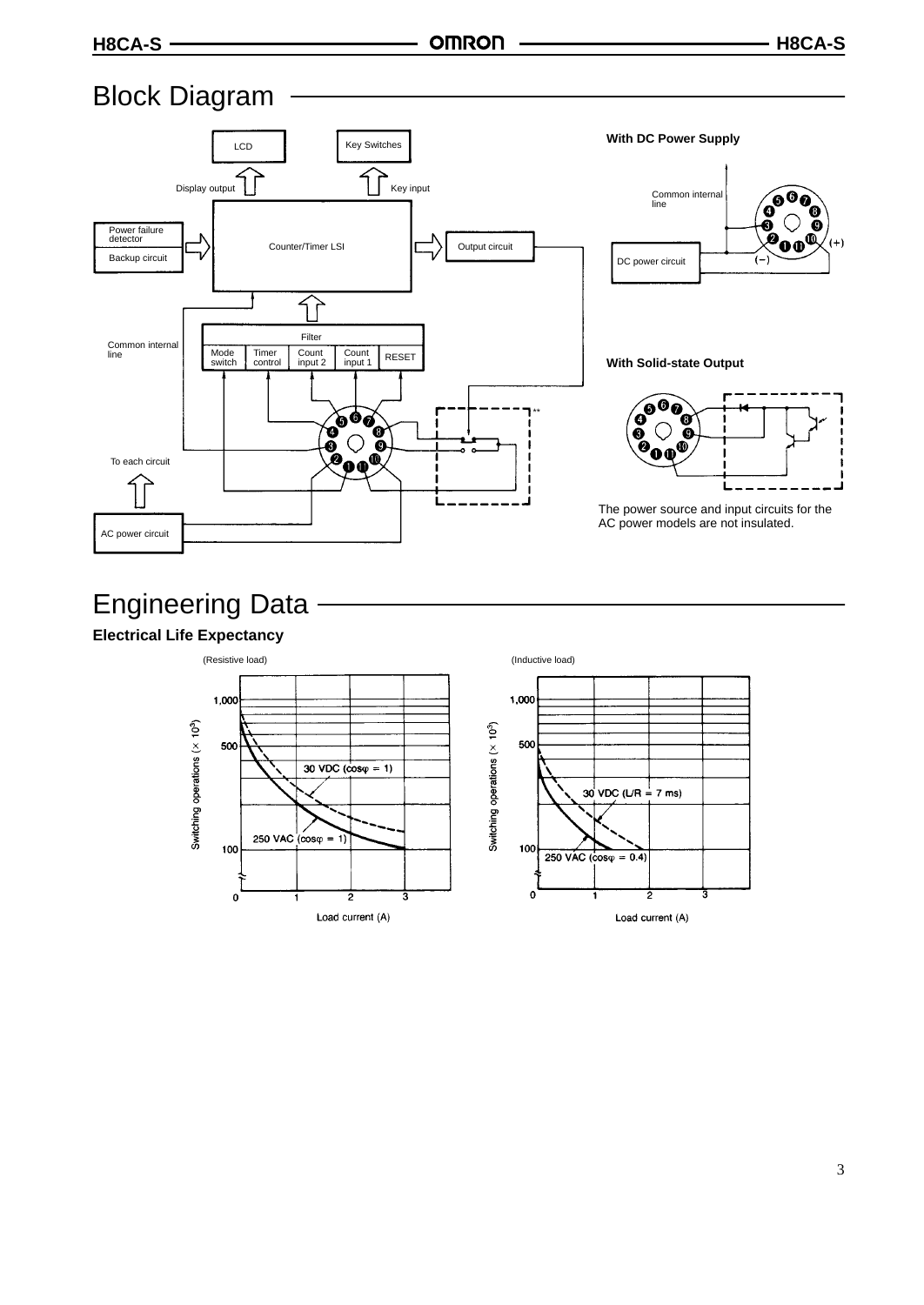# Block Diagram



# Engineering Data

# **Electrical Life Expectancy**

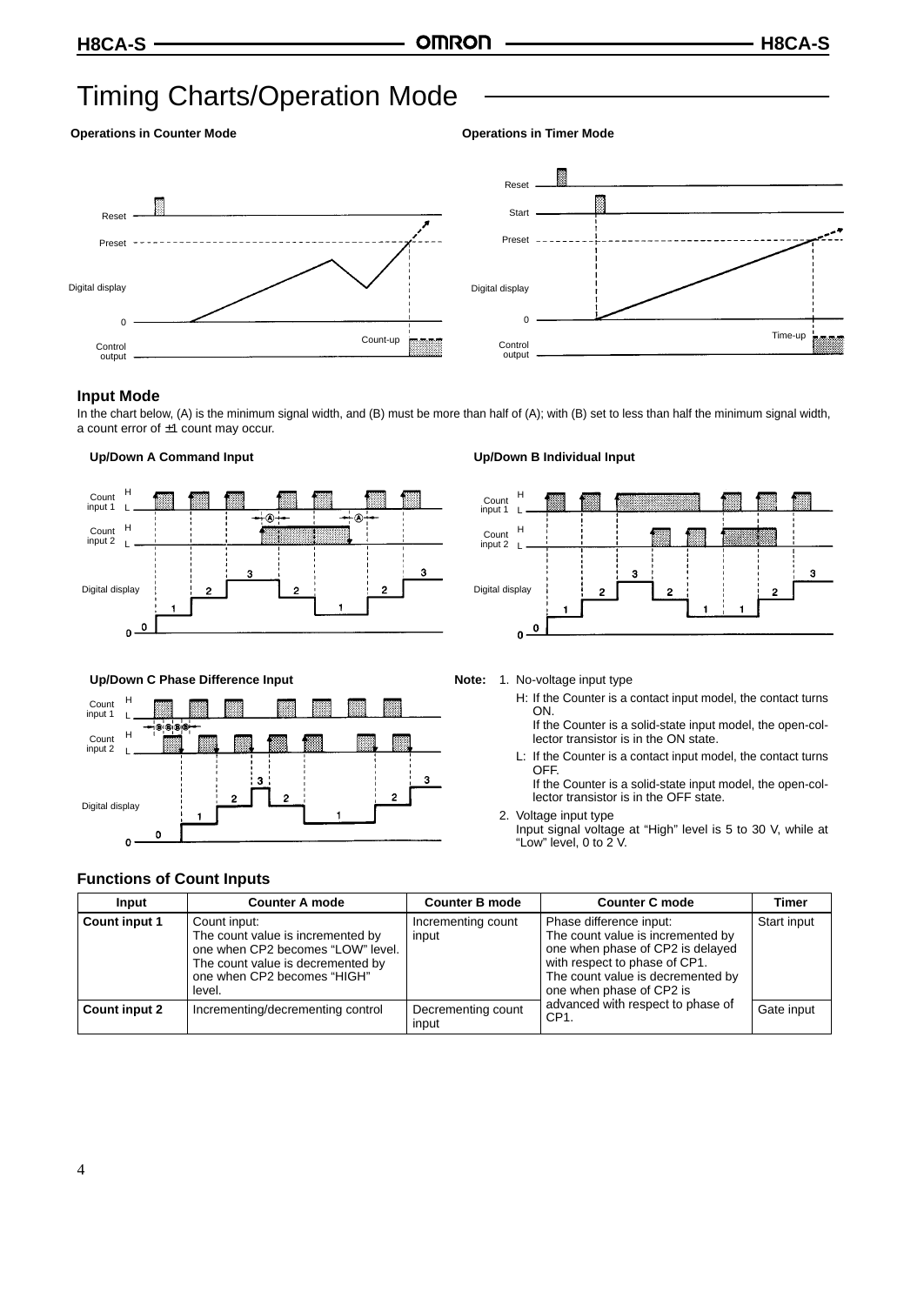# Timing Charts/Operation Mode

#### **Operations in Counter Mode Community Constraints Constraints Operations in Timer Mode**





#### **Input Mode**

In the chart below, (A) is the minimum signal width, and (B) must be more than half of (A); with (B) set to less than half the minimum signal width, a count error of ±1 count may occur.

#### **Up/Down A Command Input**



#### **Up/Down B Individual Input**

output



#### **Up/Down C Phase Difference Input**



# **Note:** 1. No-voltage input type

H: If the Counter is a contact input model, the contact turns ON.

If the Counter is a solid-state input model, the open-collector transistor is in the ON state.

L: If the Counter is a contact input model, the contact turns OFF.

If the Counter is a solid-state input model, the open-collector transistor is in the OFF state.

2. Voltage input type Input signal voltage at "High" level is 5 to 30 V, while at "Low" level, 0 to 2 V.

### **Functions of Count Inputs**

| Input                | <b>Counter A mode</b>                                                                                                                                                | <b>Counter B mode</b>       | <b>Counter C mode</b>                                                                                                                                                                              | <b>Timer</b> |
|----------------------|----------------------------------------------------------------------------------------------------------------------------------------------------------------------|-----------------------------|----------------------------------------------------------------------------------------------------------------------------------------------------------------------------------------------------|--------------|
| <b>Count input 1</b> | Count input:<br>The count value is incremented by<br>one when CP2 becomes "LOW" level.<br>The count value is decremented by<br>one when CP2 becomes "HIGH"<br>level. | Incrementing count<br>input | Phase difference input:<br>The count value is incremented by<br>one when phase of CP2 is delayed<br>with respect to phase of CP1.<br>The count value is decremented by<br>one when phase of CP2 is | Start input  |
| Count input 2        | Incrementing/decrementing control                                                                                                                                    | Decrementing count<br>input | advanced with respect to phase of<br>CP <sub>1</sub>                                                                                                                                               | Gate input   |

#### 4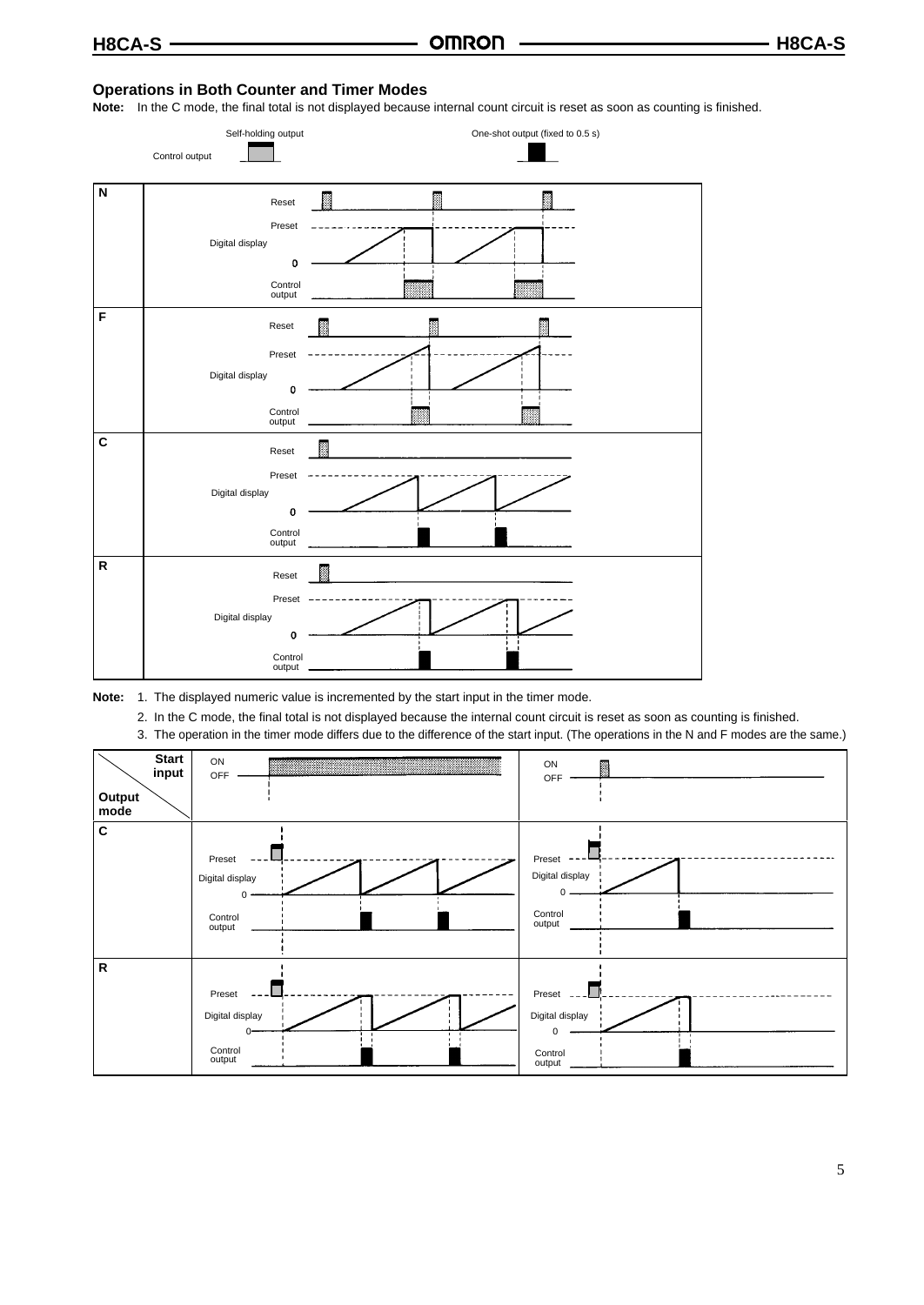### **Operations in Both Counter and Timer Modes**

**Note:** In the C mode, the final total is not displayed because internal count circuit is reset as soon as counting is finished.





- 2. In the C mode, the final total is not displayed because the internal count circuit is reset as soon as counting is finished.
- 3. The operation in the timer mode differs due to the difference of the start input. (The operations in the N and F modes are the same.)

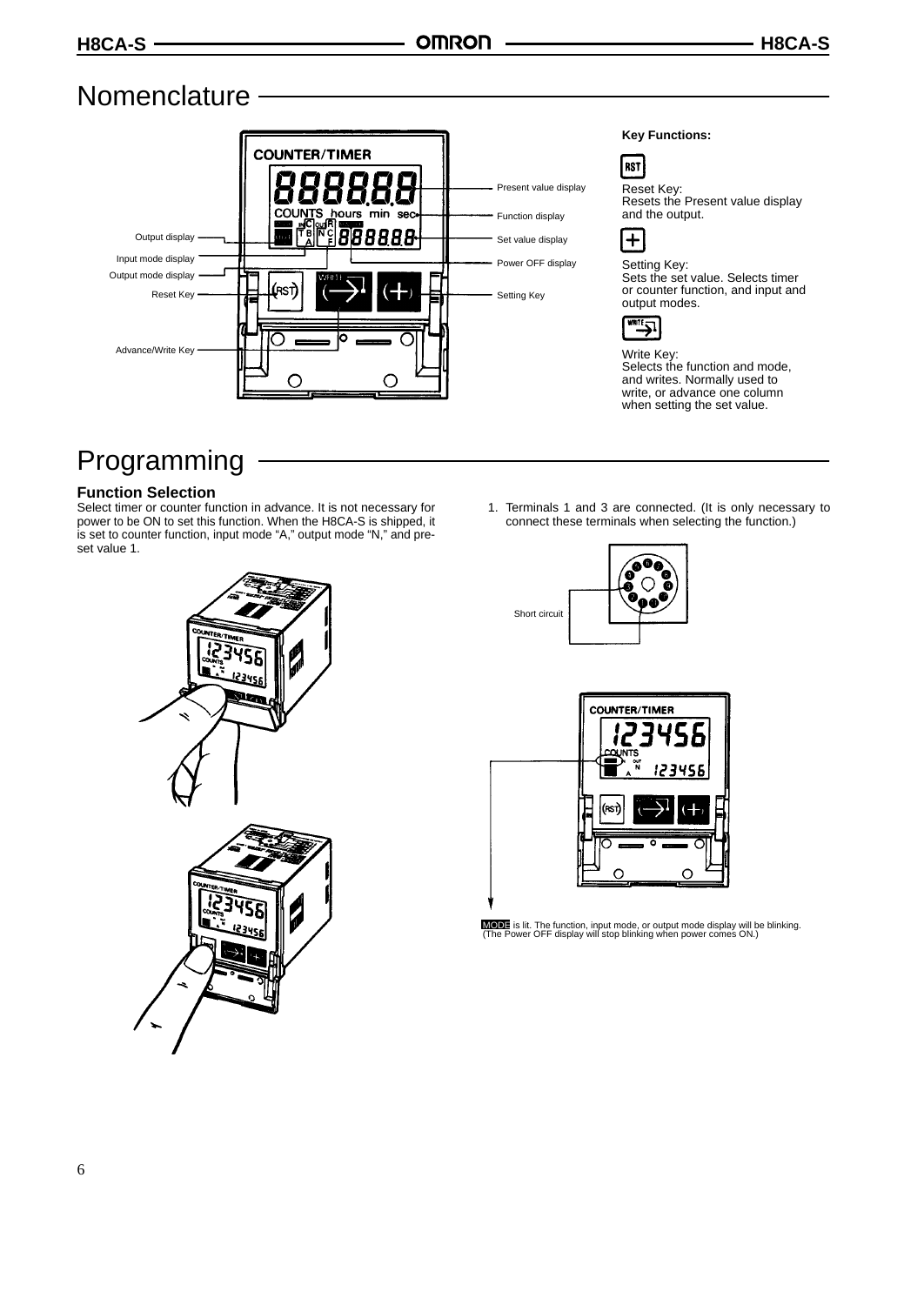# Nomenclature -



# Programming

# **Function Selection**

Select timer or counter function in advance. It is not necessary for power to be ON to set this function. When the H8CA-S is shipped, it is set to counter function, input mode "A," output mode "N," and preset value 1.



1. Terminals 1 and 3 are connected. (It is only necessary to connect these terminals when selecting the function.)





MODE is lit. The function, input mode, or output mode display will be blinking. (The Power OFF display will stop blinking when power comes ON.)

Short circuit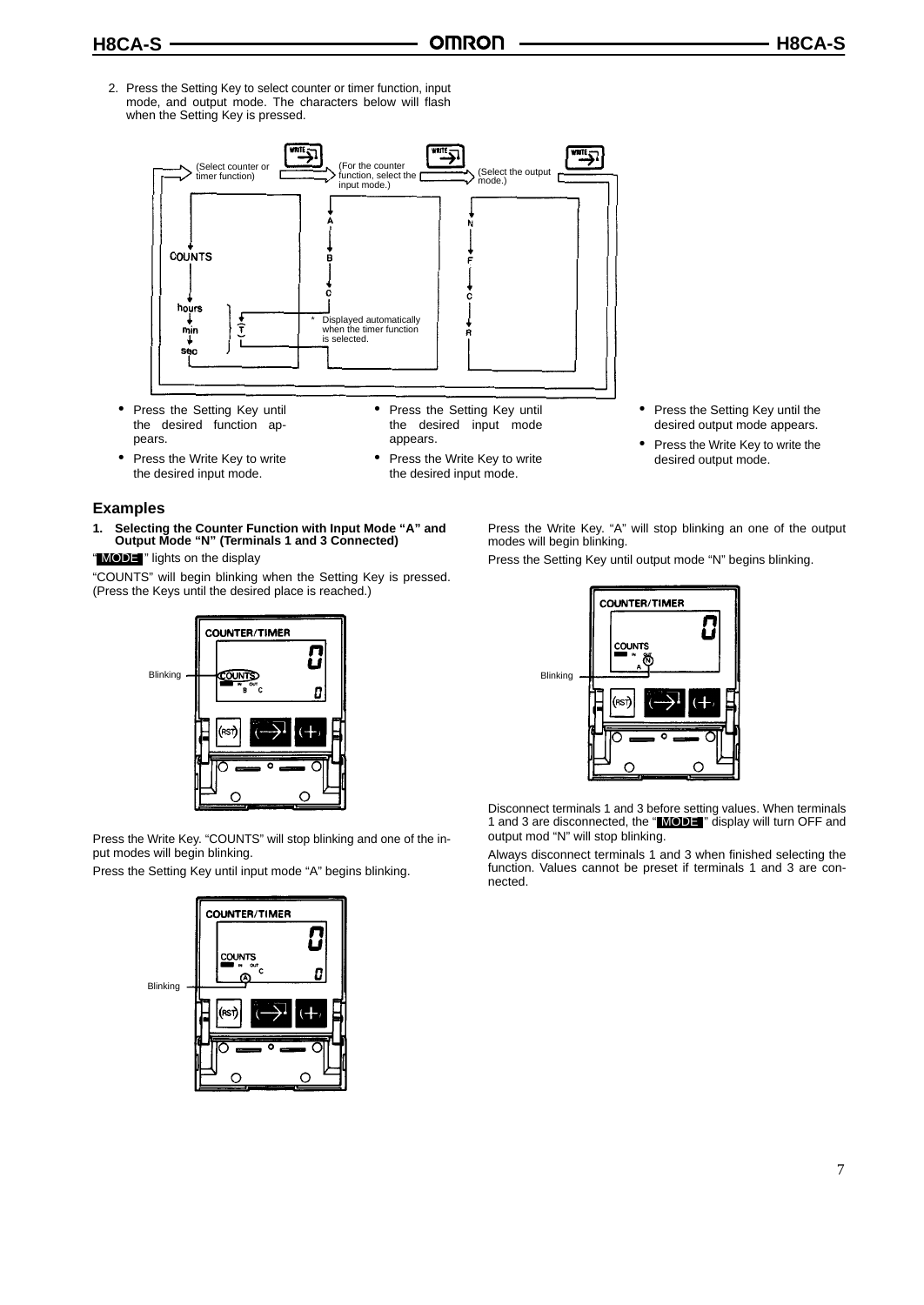2. Press the Setting Key to select counter or timer function, input mode, and output mode. The characters below will flash when the Setting Key is pressed.



- Press the Setting Key until the desired function appears.
- Press the Setting Key until the desired input mode appears.
- Press the Write Key to write the desired input mode.
- **Examples**
- **1. Selecting the Counter Function with Input Mode "A" and Output Mode "N" (Terminals 1 and 3 Connected)**

" MODE " lights on the display

"COUNTS" will begin blinking when the Setting Key is pressed. (Press the Keys until the desired place is reached.)



Press the Write Key. "COUNTS" will stop blinking and one of the input modes will begin blinking.

Press the Setting Key until input mode "A" begins blinking.



- 
- Press the Write Key to write the desired input mode.
- Press the Setting Key until the desired output mode appears.
- Press the Write Key to write the desired output mode.
- Press the Write Key. "A" will stop blinking an one of the output modes will begin blinking.

Press the Setting Key until output mode "N" begins blinking.



Disconnect terminals 1 and 3 before setting values. When terminals 1 and 3 are disconnected, the "MODE" display will turn OFF and output mod "N" will stop blinking.

Always disconnect terminals 1 and 3 when finished selecting the function. Values cannot be preset if terminals 1 and 3 are connected.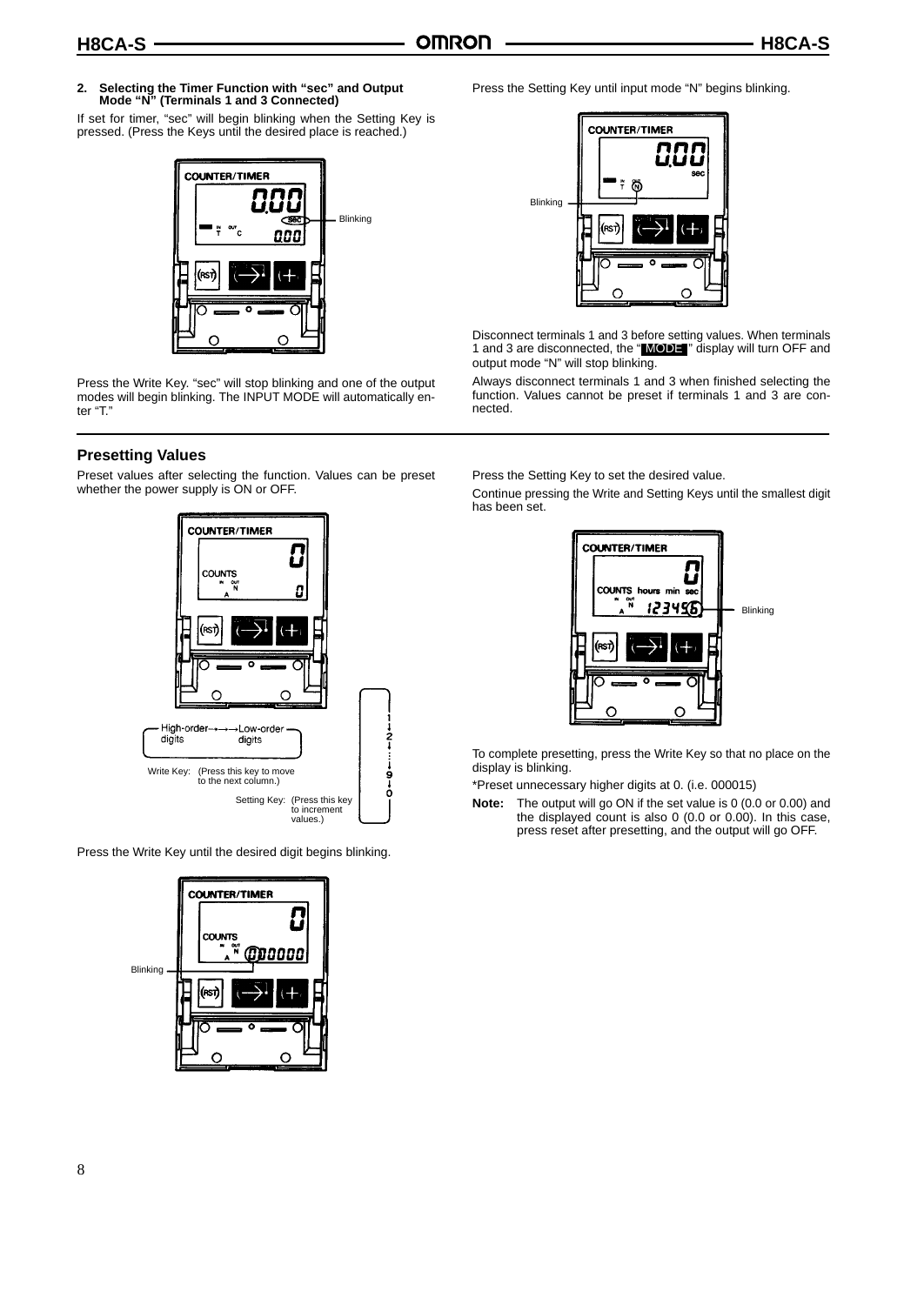# **2. Selecting the Timer Function with "sec" and Output Mode "N" (Terminals 1 and 3 Connected)**

If set for timer, "sec" will begin blinking when the Setting Key is pressed. (Press the Keys until the desired place is reached.)



Press the Write Key. "sec" will stop blinking and one of the output modes will begin blinking. The INPUT MODE will automatically enter "T."

### **Presetting Values**

Preset values after selecting the function. Values can be preset whether the power supply is ON or OFF.



Press the Write Key until the desired digit begins blinking.



Press the Setting Key until input mode "N" begins blinking.



Disconnect terminals 1 and 3 before setting values. When terminals 1 and 3 are disconnected, the " MODE " display will turn OFF and output mode "N" will stop blinking.

Always disconnect terminals 1 and 3 when finished selecting the function. Values cannot be preset if terminals 1 and 3 are connected.

Press the Setting Key to set the desired value.

Continue pressing the Write and Setting Keys until the smallest digit has been set.



To complete presetting, press the Write Key so that no place on the display is blinking.

\*Preset unnecessary higher digits at 0. (i.e. 000015)

**Note:** The output will go ON if the set value is 0 (0.0 or 0.00) and the displayed count is also 0 (0.0 or 0.00). In this case, press reset after presetting, and the output will go OFF.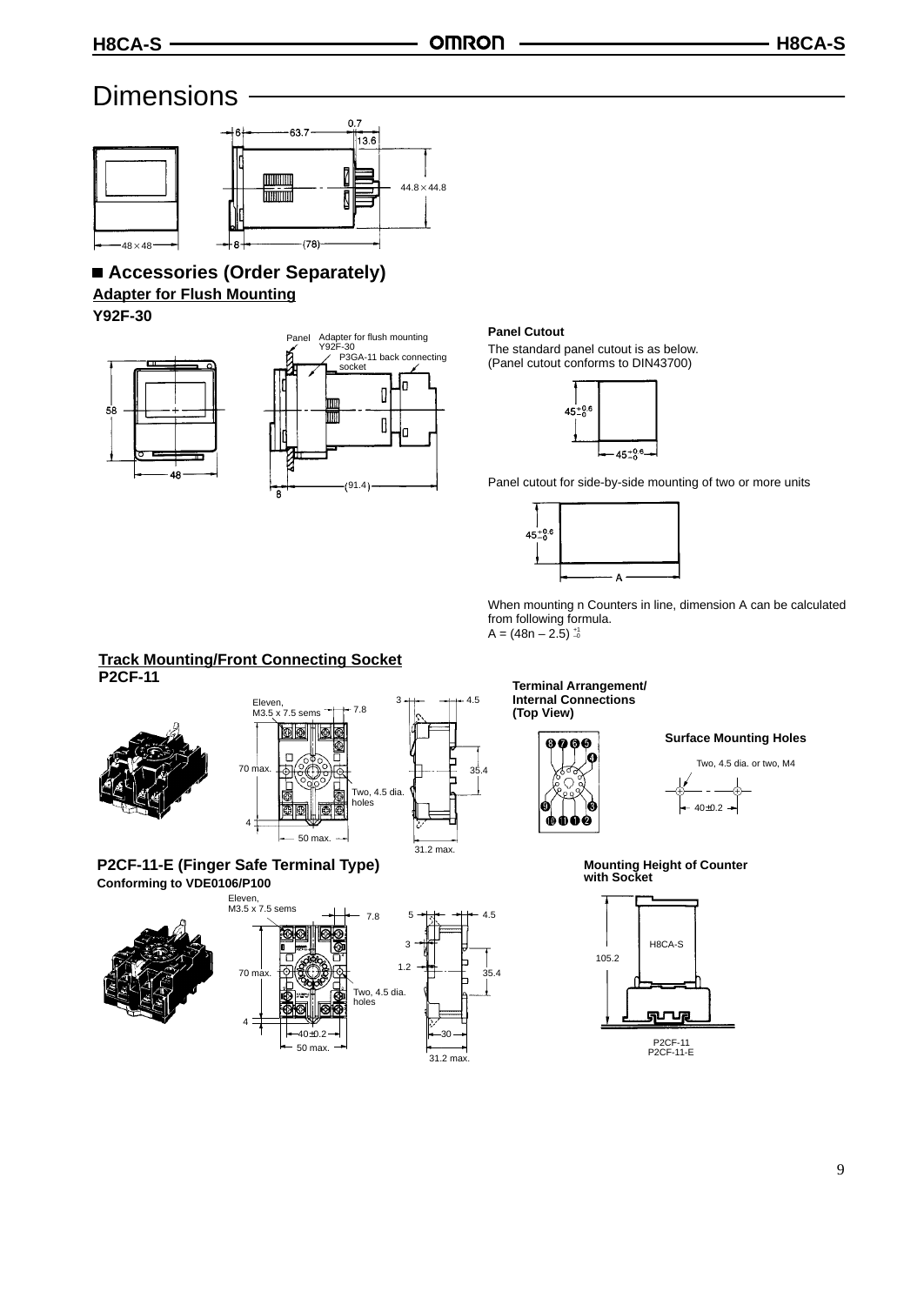# **Dimensions**



# **Accessories (Order Separately) Adapter for Flush Mounting**

**Y92F-30**





#### **Panel Cutout**

The standard panel cutout is as below. (Panel cutout conforms to DIN43700)



Panel cutout for side-by-side mounting of two or more units



When mounting n Counters in line, dimension A can be calculated from following formula.  $A = (48n - 2.5)_{-0}^{+1}$ 

**Track Mounting/Front Connecting Socket**





#### **P2CF-11-E (Finger Safe Terminal Type) Conforming to VDE0106/P100** Eleven,

4





**Terminal Arrangement/ Internal Connections (Top View)**



35.4

5 4.5

31.2 max.

**Surface Mounting Holes**



**Mounting Height of Counter with Socket**

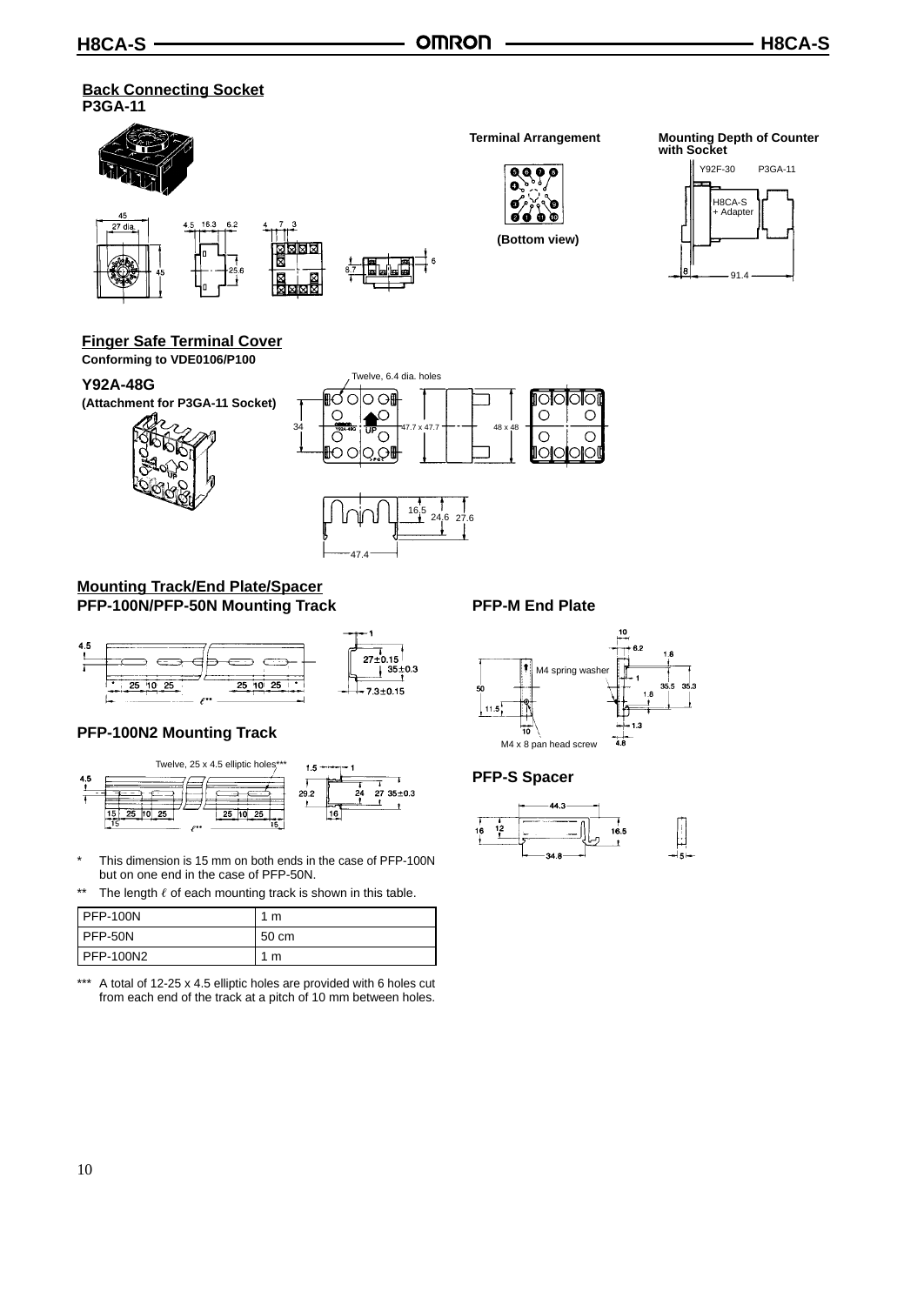#### **Back Connecting Socket P3GA-11**



# **Finger Safe Terminal Cover**

**Conforming to VDE0106/P100**

### **Y92A-48G**

**(Attachment for P3GA-11 Socket)**





### **Mounting Track/End Plate/Spacer PFP-100N/PFP-50N Mounting Track**



# **PFP-100N2 Mounting Track**



- \* This dimension is 15 mm on both ends in the case of PFP-100N but on one end in the case of PFP-50N.
- \*\* The length  $\ell$  of each mounting track is shown in this table.

| <b>I PFP-100N</b>  | 1<br>m |
|--------------------|--------|
| PFP-50N            | 50 cm  |
| <b>I PFP-100N2</b> | 1<br>m |

\*\*\* A total of 12-25 x 4.5 elliptic holes are provided with 6 holes cut from each end of the track at a pitch of 10 mm between holes.

# **PFP-M End Plate**



### **PFP-S Spacer**

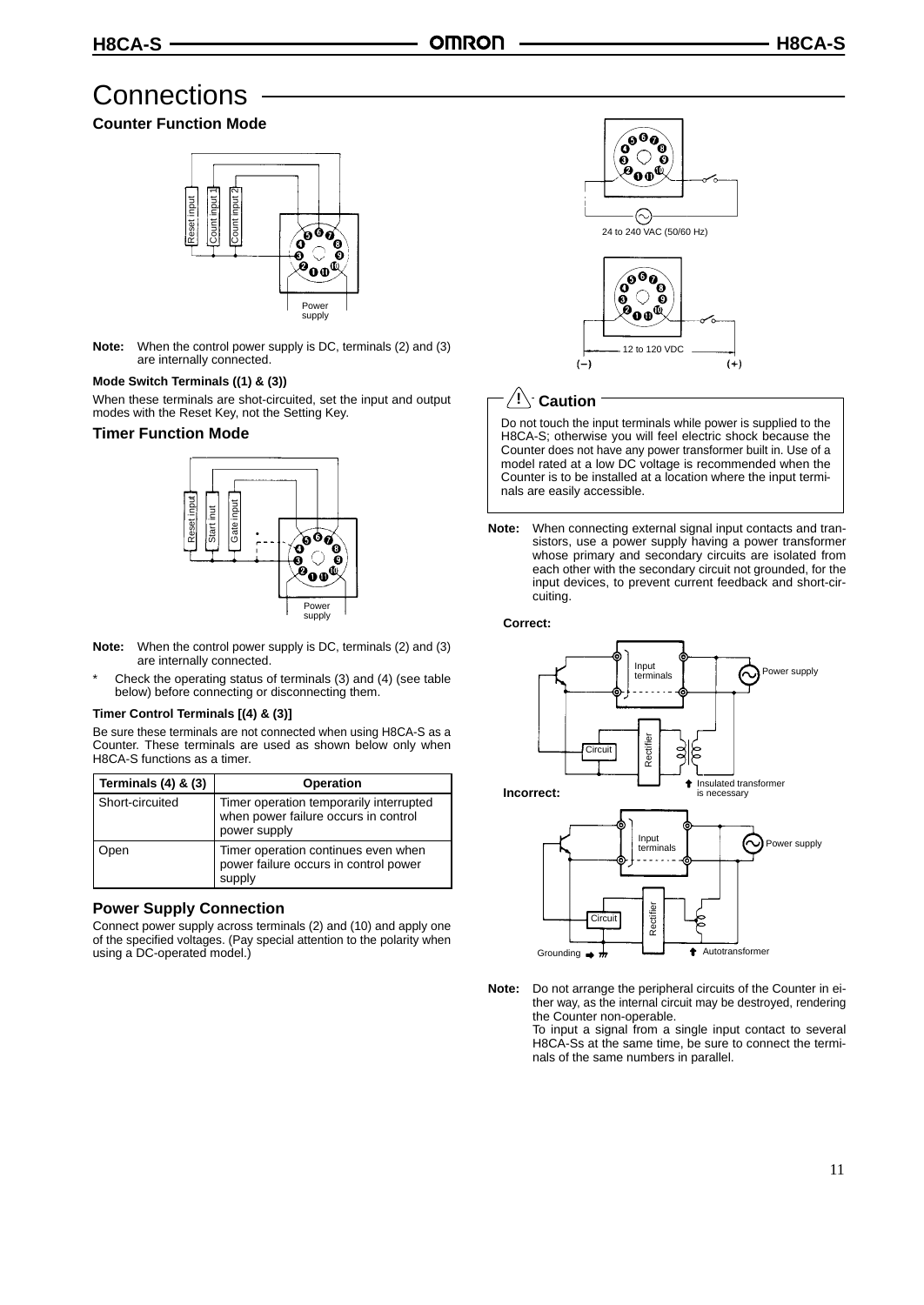# **Connections**

### **Counter Function Mode**



**Note:** When the control power supply is DC, terminals (2) and (3) are internally connected.

#### **Mode Switch Terminals ((1) & (3))**

When these terminals are shot-circuited, set the input and output modes with the Reset Key, not the Setting Key.

#### **Timer Function Mode**



- **Note:** When the control power supply is DC, terminals (2) and (3) are internally connected.
- \* Check the operating status of terminals (3) and (4) (see table below) before connecting or disconnecting them.

#### **Timer Control Terminals [(4) & (3)]**

Be sure these terminals are not connected when using H8CA-S as a Counter. These terminals are used as shown below only when H8CA-S functions as a timer.

| Terminals $(4)$ & $(3)$ | <b>Operation</b>                                                                                |
|-------------------------|-------------------------------------------------------------------------------------------------|
| Short-circuited         | Timer operation temporarily interrupted<br>when power failure occurs in control<br>power supply |
| )pen                    | Timer operation continues even when<br>power failure occurs in control power<br>supply          |

#### **Power Supply Connection**

Connect power supply across terminals (2) and (10) and apply one of the specified voltages. (Pay special attention to the polarity when using a DC-operated model.)



# **Caution !**

 $(-)$ 

Do not touch the input terminals while power is supplied to the H8CA-S; otherwise you will feel electric shock because the Counter does not have any power transformer built in. Use of a model rated at a low DC voltage is recommended when the Counter is to be installed at a location where the input terminals are easily accessible.

 $(+)$ 

**Note:** When connecting external signal input contacts and transistors, use a power supply having a power transformer whose primary and secondary circuits are isolated from each other with the secondary circuit not grounded, for the input devices, to prevent current feedback and short-circuiting.

#### **Correct:**



**Note:** Do not arrange the peripheral circuits of the Counter in either way, as the internal circuit may be destroyed, rendering the Counter non-operable.

To input a signal from a single input contact to several H8CA-Ss at the same time, be sure to connect the terminals of the same numbers in parallel.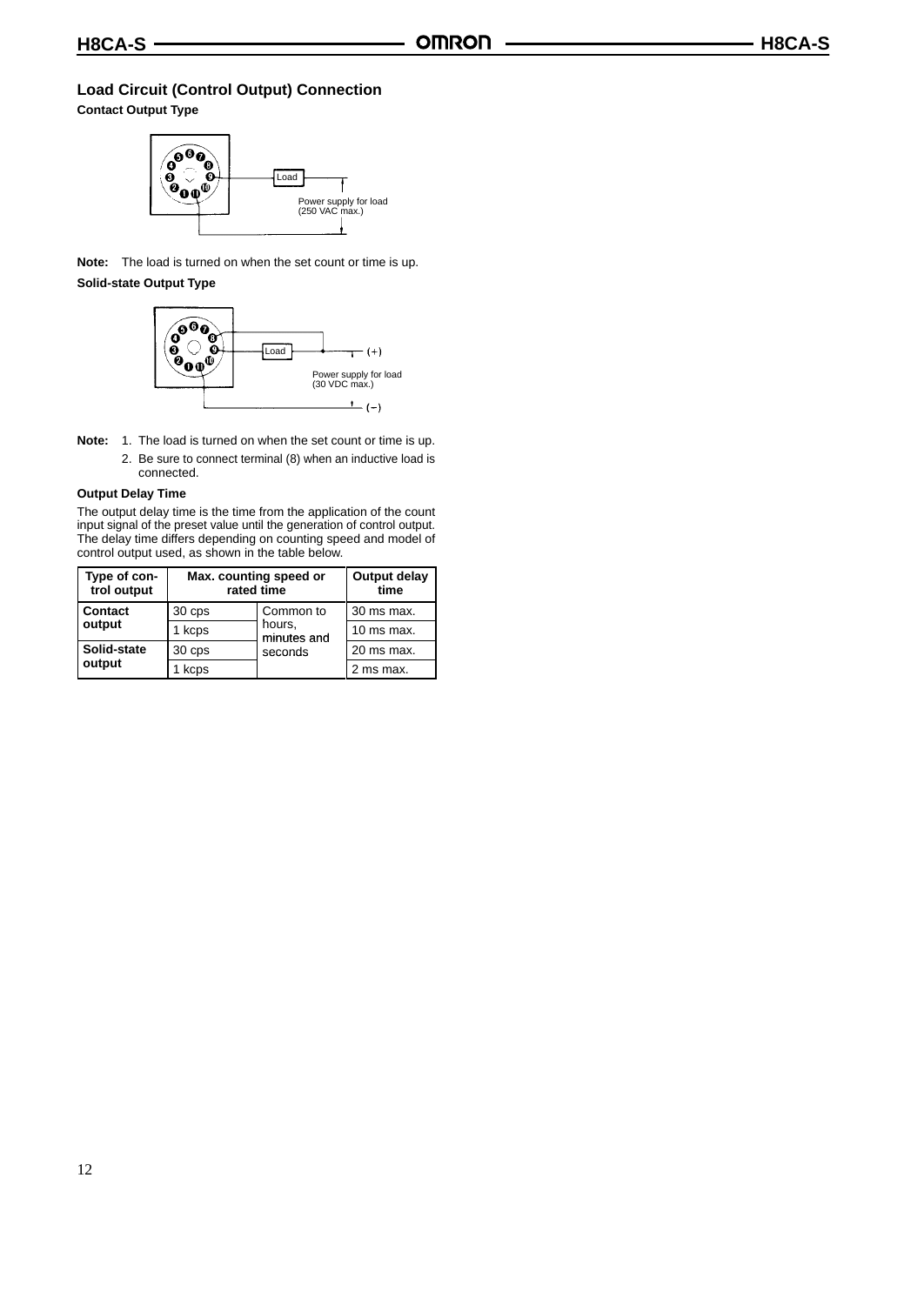### **Load Circuit (Control Output) Connection**

**Contact Output Type**



**Note:** The load is turned on when the set count or time is up.

#### **Solid-state Output Type**



- **Note:** 1. The load is turned on when the set count or time is up.
	- 2. Be sure to connect terminal (8) when an inductive load is connected.

#### **Output Delay Time**

The output delay time is the time from the application of the count input signal of the preset value until the generation of control output. The delay time differs depending on counting speed and model of control output used, as shown in the table below.

| Type of con-<br>trol output | Max. counting speed or<br>rated time |                                               | Output delay<br>time |
|-----------------------------|--------------------------------------|-----------------------------------------------|----------------------|
| Contact                     | 30 cps                               | Common to<br>hours,<br>minutes and<br>seconds | 30 ms max.           |
| output                      | 1 kcps                               |                                               | 10 ms max.           |
| Solid-state                 | 30 cps                               |                                               | 20 ms max.           |
| output                      | kcps                                 |                                               | 2 ms max.            |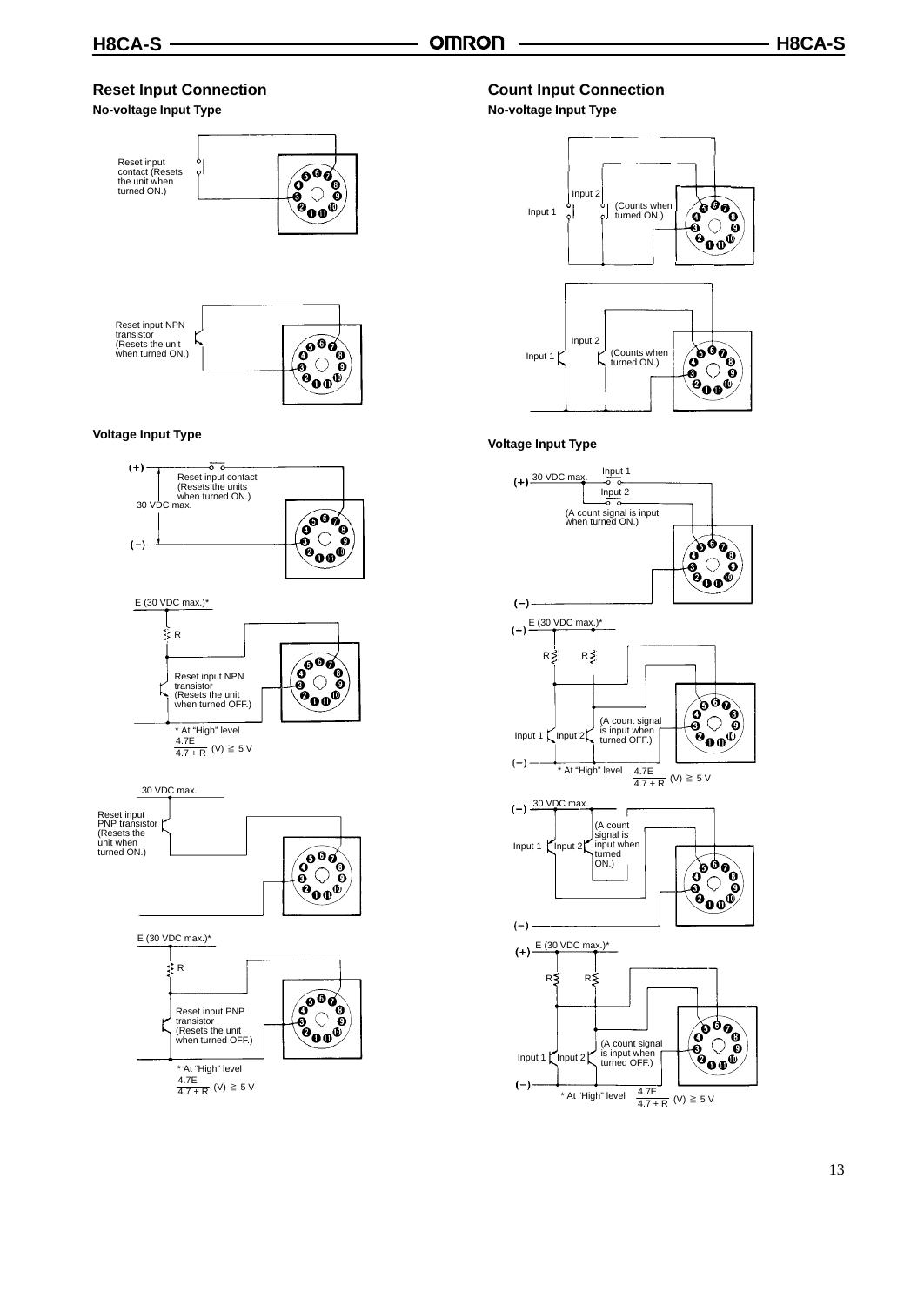### **Reset Input Connection**

#### **No-voltage Input Type**



#### **Voltage Input Type**



#### **Count Input Connection**

#### **No-voltage Input Type**



#### **Voltage Input Type**

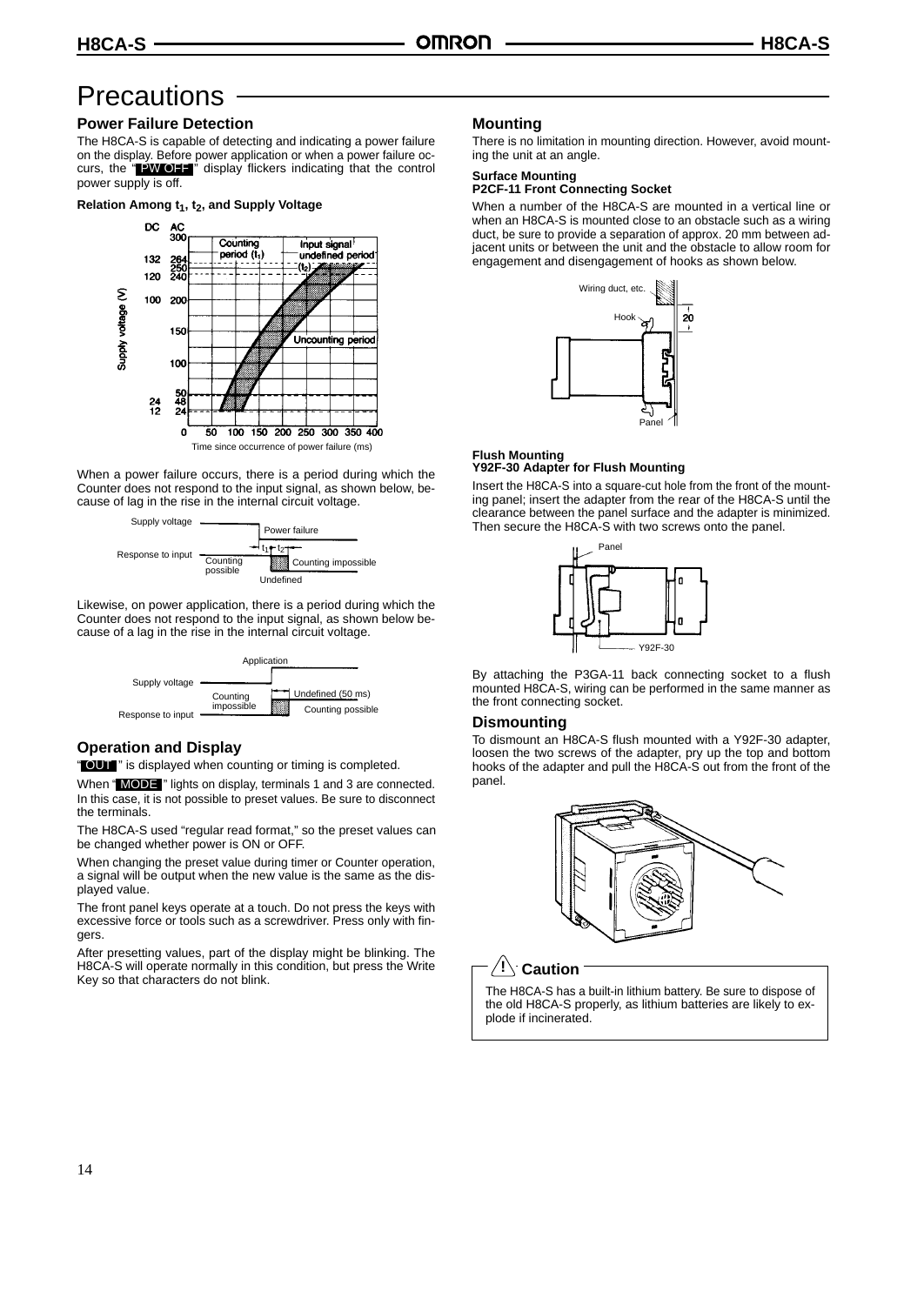# **Precautions**

# **Power Failure Detection**

The H8CA-S is capable of detecting and indicating a power failure on the display. Before power application or when a power failure occurs, the "**PW OFF**" display flickers indicating that the control power supply is off.

#### **Relation Among t<sub>1</sub>, t<sub>2</sub>, and Supply Voltage**



When a power failure occurs, there is a period during which the Counter does not respond to the input signal, as shown below, because of lag in the rise in the internal circuit voltage.



Likewise, on power application, there is a period during which the Counter does not respond to the input signal, as shown below because of a lag in the rise in the internal circuit voltage.



# **Operation and Display**

" OUT " is displayed when counting or timing is completed.

When "MODE" lights on display, terminals 1 and 3 are connected. In this case, it is not possible to preset values. Be sure to disconnect the terminals.

The H8CA-S used "regular read format," so the preset values can be changed whether power is ON or OFF.

When changing the preset value during timer or Counter operation, a signal will be output when the new value is the same as the displayed value.

The front panel keys operate at a touch. Do not press the keys with excessive force or tools such as a screwdriver. Press only with fingers.

After presetting values, part of the display might be blinking. The H8CA-S will operate normally in this condition, but press the Write Key so that characters do not blink.

### **Mounting**

There is no limitation in mounting direction. However, avoid mounting the unit at an angle.

#### **Surface Mounting**

**P2CF-11 Front Connecting Socket**

When a number of the H8CA-S are mounted in a vertical line or when an H8CA-S is mounted close to an obstacle such as a wiring duct, be sure to provide a separation of approx. 20 mm between adjacent units or between the unit and the obstacle to allow room for engagement and disengagement of hooks as shown below.



#### **Flush Mounting Y92F-30 Adapter for Flush Mounting**

Insert the H8CA-S into a square-cut hole from the front of the mounting panel; insert the adapter from the rear of the H8CA-S until the clearance between the panel surface and the adapter is minimized. Then secure the H8CA-S with two screws onto the panel.



By attaching the P3GA-11 back connecting socket to a flush mounted H8CA-S, wiring can be performed in the same manner as the front connecting socket.

#### **Dismounting**

To dismount an H8CA-S flush mounted with a Y92F-30 adapter, loosen the two screws of the adapter, pry up the top and bottom hooks of the adapter and pull the H8CA-S out from the front of the panel.



### $\mathbf{P}$  Caution

The H8CA-S has a built-in lithium battery. Be sure to dispose of the old H8CA-S properly, as lithium batteries are likely to explode if incinerated.

14